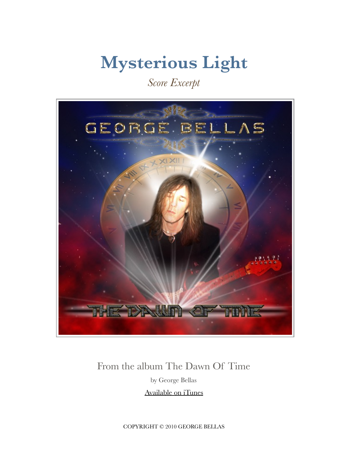*Score Excerpt*



#### From the album The Dawn Of Time

by George Bellas

[Available on iTunes](https://itunes.apple.com/us/album/the-dawn-of-time/id383795471)

COPYRIGHT © 2010 GEORGE BELLAS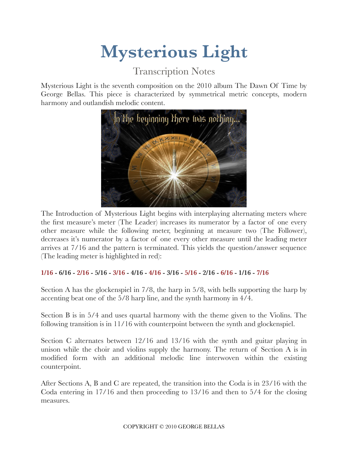### Transcription Notes

Mysterious Light is the seventh composition on the 2010 album The Dawn Of Time by George Bellas. This piece is characterized by symmetrical metric concepts, modern harmony and outlandish melodic content.



The Introduction of Mysterious Light begins with interplaying alternating meters where the first measure's meter (The Leader) increases its numerator by a factor of one every other measure while the following meter, beginning at measure two (The Follower), decreases it's numerator by a factor of one every other measure until the leading meter arrives at 7/16 and the pattern is terminated. This yields the question/answer sequence (The leading meter is highlighted in red):

#### **1/16 - 6/16 - 2/16 - 5/16 - 3/16 - 4/16 - 4/16 - 3/16 - 5/16 - 2/16 - 6/16 - 1/16 - 7/16**

Section A has the glockenspiel in 7/8, the harp in 5/8, with bells supporting the harp by accenting beat one of the 5/8 harp line, and the synth harmony in 4/4.

Section B is in 5/4 and uses quartal harmony with the theme given to the Violins. The following transition is in 11/16 with counterpoint between the synth and glockenspiel.

Section C alternates between 12/16 and 13/16 with the synth and guitar playing in unison while the choir and violins supply the harmony. The return of Section A is in modified form with an additional melodic line interwoven within the existing counterpoint.

After Sections A, B and C are repeated, the transition into the Coda is in 23/16 with the Coda entering in 17/16 and then proceeding to 13/16 and then to 5/4 for the closing measures.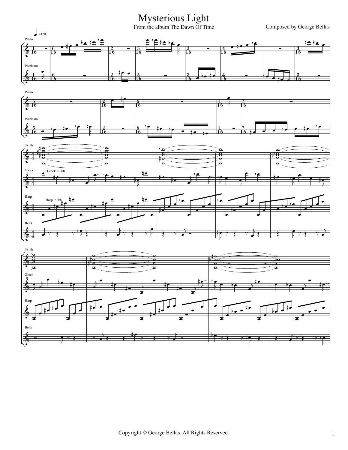

"

"

"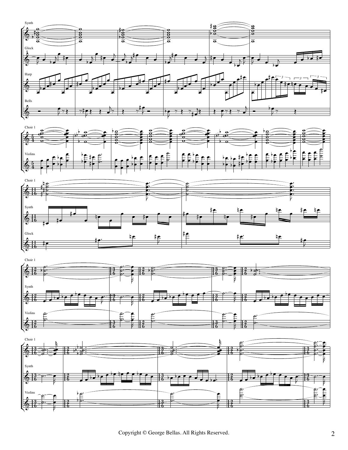







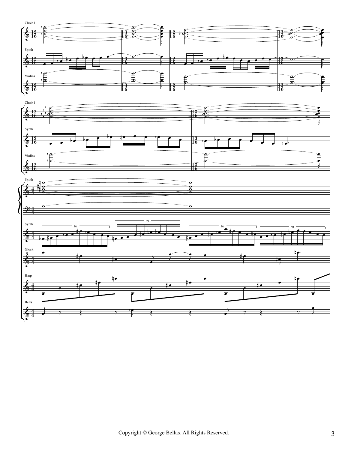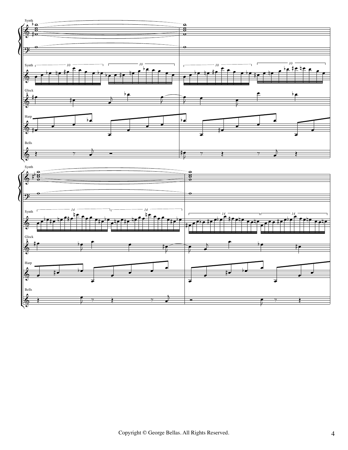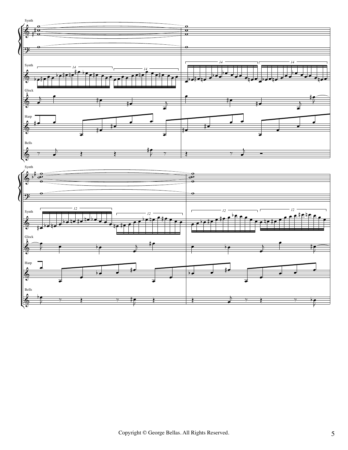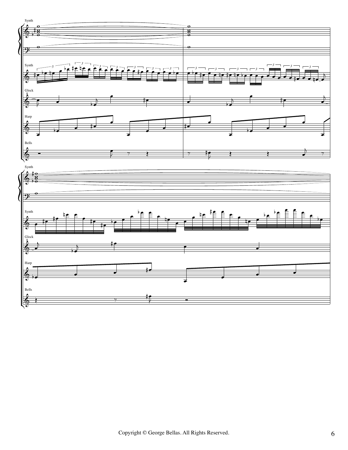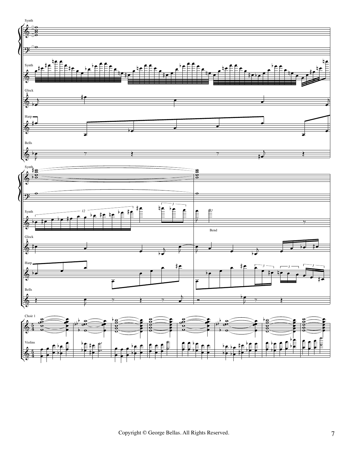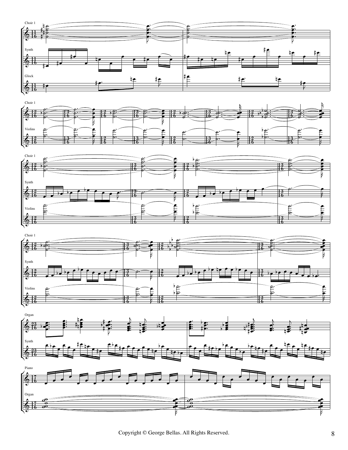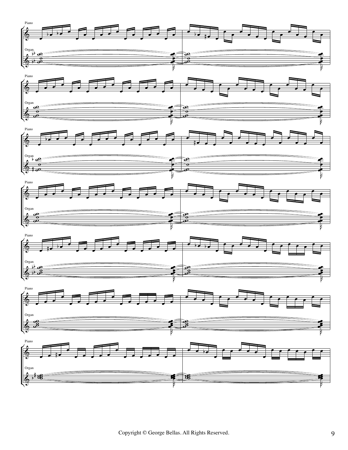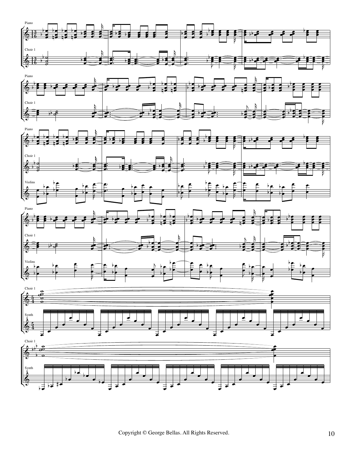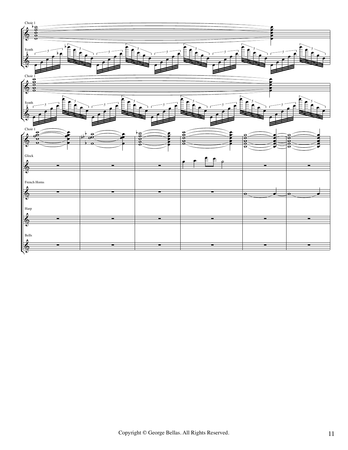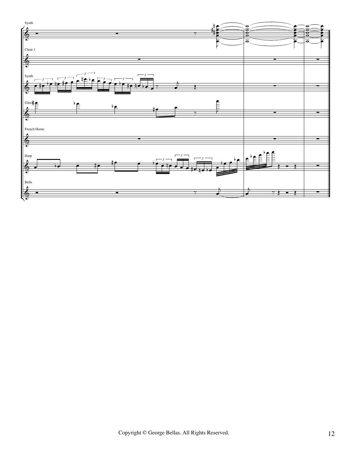